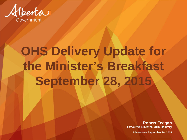

# **OHS Delivery Update for the Minister's Breakfast September 28, 2015**

**Robert Feagan Executive Director, OHS Delivery**

**Edmonton– September 28, 2015**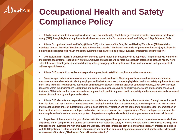

#### **Occupational Health and Safety Compliance Policy**

• **All Albertans are entitled to workplaces that are safe, fair and healthy. The Alberta government promotes occupational health and safety (OHS) through legislated requirements which are enshrined in the** *Occupational Health and Safety Act, Regulation* **and** *Code***.**

• **Alberta Occupational Health and Safety (Alberta OHS) is the branch of the Safe, Fair and Healthy Workplaces (SFHW) division mandated to reach the vision "Healthy and Safe is How Alberta Works." The branch mission is to "prevent workplace injury & illness by building and strengthening a health and safety culture through partnerships, policy, education, enforcement and innovation."**

• **OHS legislation in Alberta is performance or outcome-based, rather than prescriptive in its approach. This philosophy is founded on the premise of an internal responsibility system. Employers and workers will be more successful in establishing safe and healthy work sites if they meet their legislated responsibilities by actively engaging in the development of safe and innovative work practices that address specific hazards.**

• **Alberta OHS uses both proactive and responsive approaches to establish compliance at Alberta work sites.**

• **Proactive approaches with employers and industries are evidence-based. These approaches use multiple injury performance measures and compliance data to identify employers and industries who are not meeting legislated health and safety requirements and are most likely to benefit from enhanced educational and inspection activities. Through proactive strategic programs, Alberta OHS focuses resources where the greatest need is identified, and conducts compliance activities to improve performance and decrease associated incidents. SFHW believes that this evidence-based approach will result in improved health and safety at Alberta work sites and a sustained culture of compliance by employers and workers.**

• **Alberta OHS also acts in a responsive manner to complaints and reported incidents at Alberta work sites. Through inspections and investigations, staff use a variety of compliance tools, ranging from education to prosecutions, to ensure employers and workers meet their responsibilities under OHS legislation. One tool does not fit every situation and the appropriate compliance tool or combination of tools must be selected to ensure employers and workers are directed to meet their responsibilities. Where employers are resistant, the non-compliance is of a serious nature, or a pattern of repeat non-compliance is evident, the strongest enforcement tools will be used.**

• **Regardless of the approach, the goal of Alberta OHS is to engage with employers and workers in a cooperative manner to eliminate any issues of non-compliance, and attain a sustained culture of health and safety for Alberta workers. Alberta OHS shares learnings from inspections and investigations with employers and workers, conducts compliance activities, and when necessary, enforces compliance with OHS legislation. It is this combination of awareness and education with sound, appropriate enforcement practices that is leading to achievement of the vision, "Healthy and Safe is How Alberta Works."**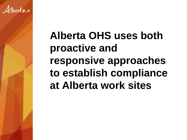

## **Alberta OHS uses both proactive and responsive approaches to establish compliance at Alberta work sites**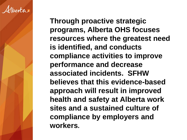

**Through proactive strategic programs, Alberta OHS focuses resources where the greatest need is identified, and conducts compliance activities to improve performance and decrease associated incidents. SFHW believes that this evidence-based approach will result in improved health and safety at Alberta work sites and a sustained culture of compliance by employers and workers.**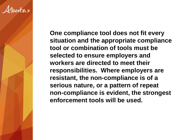

**One compliance tool does not fit every situation and the appropriate compliance tool or combination of tools must be selected to ensure employers and workers are directed to meet their responsibilities. Where employers are resistant, the non-compliance is of a serious nature, or a pattern of repeat non-compliance is evident, the strongest enforcement tools will be used.**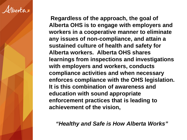

**Regardless of the approach, the goal of Alberta OHS is to engage with employers and workers in a cooperative manner to eliminate any issues of non-compliance, and attain a sustained culture of health and safety for Alberta workers. Alberta OHS shares learnings from inspections and investigations with employers and workers, conducts compliance activities and when necessary enforces compliance with the OHS legislation. It is this combination of awareness and education with sound appropriate enforcement practices that is leading to achievement of the vision,** 

*"Healthy and Safe is How Alberta Works"*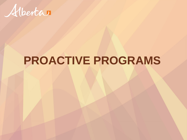

### **PROACTIVE PROGRAMS**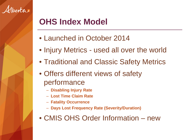

#### **OHS Index Model**

- Launched in October 2014
- Injury Metrics used all over the world
- Traditional and Classic Safety Metrics
- Offers different views of safety performance
	- **Disabling Injury Rate**
	- **Lost Time Claim Rate**
	- **Fatality Occurrence**
	- **Days Lost Frequency Rate (Severity/Duration)**
- CMIS OHS Order Information new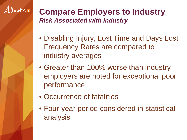

#### **Compare Employers to Industry** *Risk Associated with Industry*

- Disabling Injury, Lost Time and Days Lost Frequency Rates are compared to industry averages
- Greater than 100% worse than industry employers are noted for exceptional poor performance
- Occurrence of fatalities
- Four-year period considered in statistical analysis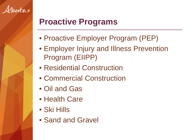

#### **Proactive Programs**

- Proactive Employer Program (PEP)
- Employer Injury and Illness Prevention Program (EIIPP)
- Residential Construction
- Commercial Construction
- Oil and Gas
- Health Care
- Ski Hills
- Sand and Gravel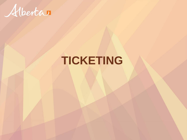

## **TICKETING**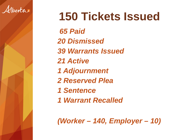

# **150 Tickets Issued**

- *65 Paid 20 Dismissed 39 Warrants Issued 21 Active 1 Adjournment*
- *2 Reserved Plea*
- *1 Sentence*
- *1 Warrant Recalled*

*(Worker – 140, Employer – 10)*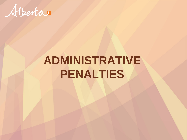

## **ADMINISTRATIVE PENALTIES**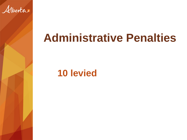

### **Administrative Penalties**

**10 levied**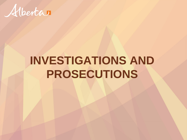

## **INVESTIGATIONS AND PROSECUTIONS**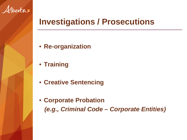

#### **Investigations / Prosecutions**

- **Re-organization**
- **Training**
- **Creative Sentencing**
- **Corporate Probation**
	- *(e.g., Criminal Code – Corporate Entities)*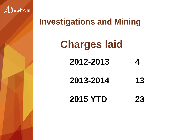

#### **Investigations and Mining**

## **Charges laid**

- **2012-2013 4**
- **2013-2014 13**
- **2015 YTD 23**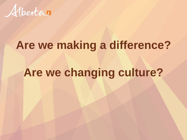

### **Are we making a difference?**

### **Are we changing culture?**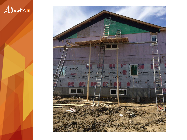

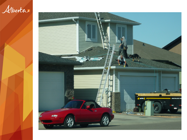

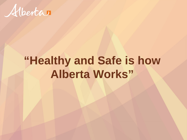

## **"Healthy and Safe is how Alberta Works"**